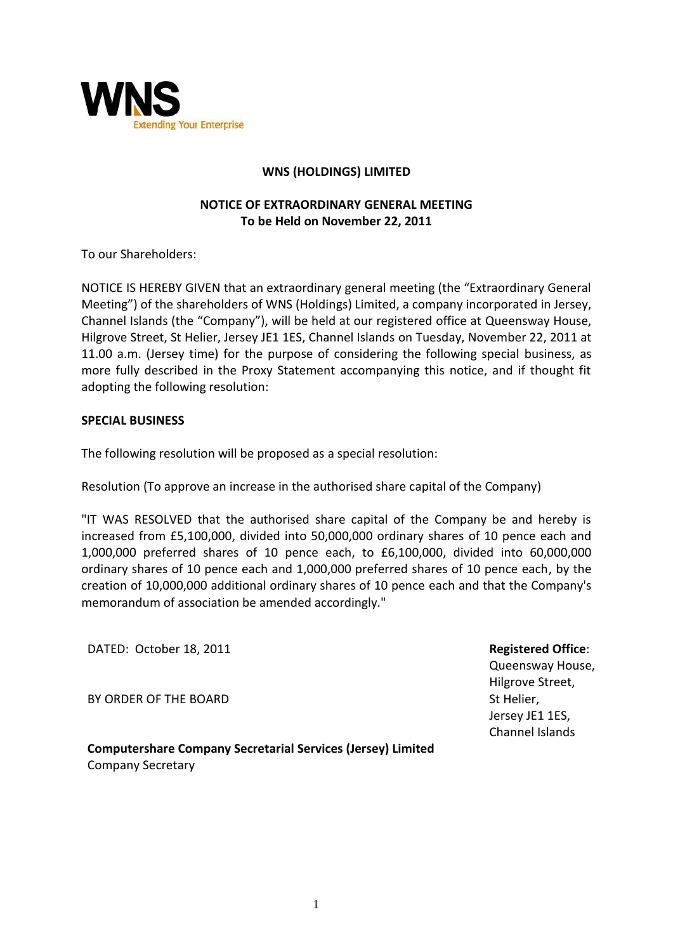

## **WNS (HOLDINGS) LIMITED**

## **NOTICE OF EXTRAORDINARY GENERAL MEETING To be Held on November 22, 2011**

To our Shareholders:

NOTICE IS HEREBY GIVEN that an extraordinary general meeting (the "Extraordinary General Meeting") of the shareholders of WNS (Holdings) Limited, a company incorporated in Jersey, Channel Islands (the "Company"), will be held at our registered office at Queensway House, Hilgrove Street, St Helier, Jersey JE1 1ES, Channel Islands on Tuesday, November 22, 2011 at 11.00 a.m. (Jersey time) for the purpose of considering the following special business, as more fully described in the Proxy Statement accompanying this notice, and if thought fit adopting the following resolution:

## **SPECIAL BUSINESS**

The following resolution will be proposed as a special resolution:

Resolution (To approve an increase in the authorised share capital of the Company)

"IT WAS RESOLVED that the authorised share capital of the Company be and hereby is increased from £5,100,000, divided into 50,000,000 ordinary shares of 10 pence each and 1,000,000 preferred shares of 10 pence each, to £6,100,000, divided into 60,000,000 ordinary shares of 10 pence each and 1,000,000 preferred shares of 10 pence each, by the creation of 10,000,000 additional ordinary shares of 10 pence each and that the Company's memorandum of association be amended accordingly."

DATED: October 18, 2011

BY ORDER OF THE BOARD

**Registered Office**:

Queensway House, Hilgrove Street, St Helier, Jersey JE1 1ES, Channel Islands

**Computershare Company Secretarial Services (Jersey) Limited** Company Secretary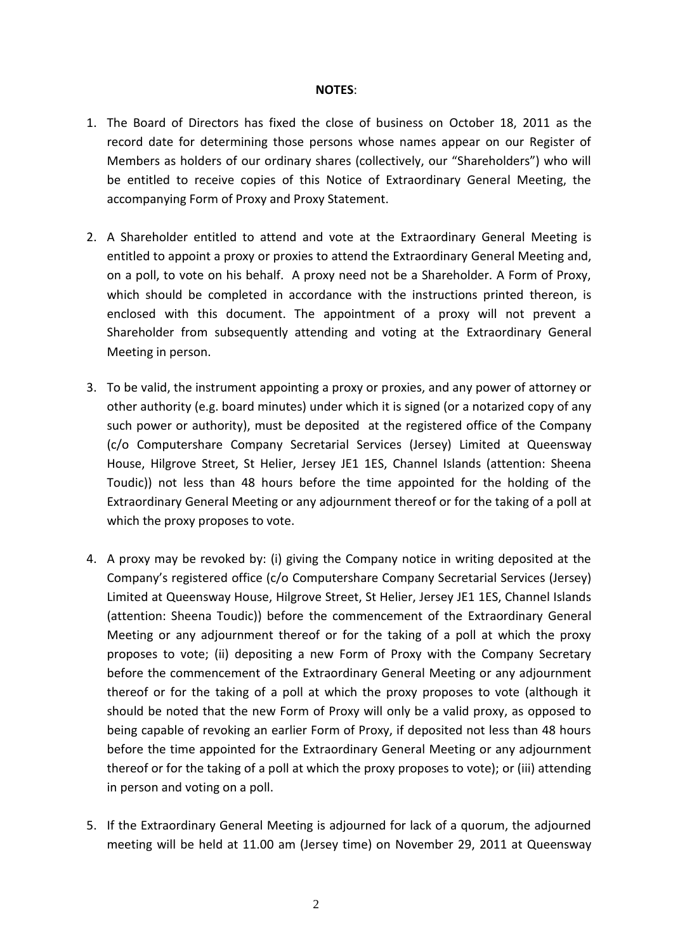## **NOTES**:

- 1. The Board of Directors has fixed the close of business on October 18, 2011 as the record date for determining those persons whose names appear on our Register of Members as holders of our ordinary shares (collectively, our "Shareholders") who will be entitled to receive copies of this Notice of Extraordinary General Meeting, the accompanying Form of Proxy and Proxy Statement.
- 2. A Shareholder entitled to attend and vote at the Extraordinary General Meeting is entitled to appoint a proxy or proxies to attend the Extraordinary General Meeting and, on a poll, to vote on his behalf. A proxy need not be a Shareholder. A Form of Proxy, which should be completed in accordance with the instructions printed thereon, is enclosed with this document. The appointment of a proxy will not prevent a Shareholder from subsequently attending and voting at the Extraordinary General Meeting in person.
- 3. To be valid, the instrument appointing a proxy or proxies, and any power of attorney or other authority (e.g. board minutes) under which it is signed (or a notarized copy of any such power or authority), must be deposited at the registered office of the Company (c/o Computershare Company Secretarial Services (Jersey) Limited at Queensway House, Hilgrove Street, St Helier, Jersey JE1 1ES, Channel Islands (attention: Sheena Toudic)) not less than 48 hours before the time appointed for the holding of the Extraordinary General Meeting or any adjournment thereof or for the taking of a poll at which the proxy proposes to vote.
- 4. A proxy may be revoked by: (i) giving the Company notice in writing deposited at the Company's registered office (c/o Computershare Company Secretarial Services (Jersey) Limited at Queensway House, Hilgrove Street, St Helier, Jersey JE1 1ES, Channel Islands (attention: Sheena Toudic)) before the commencement of the Extraordinary General Meeting or any adjournment thereof or for the taking of a poll at which the proxy proposes to vote; (ii) depositing a new Form of Proxy with the Company Secretary before the commencement of the Extraordinary General Meeting or any adjournment thereof or for the taking of a poll at which the proxy proposes to vote (although it should be noted that the new Form of Proxy will only be a valid proxy, as opposed to being capable of revoking an earlier Form of Proxy, if deposited not less than 48 hours before the time appointed for the Extraordinary General Meeting or any adjournment thereof or for the taking of a poll at which the proxy proposes to vote); or (iii) attending in person and voting on a poll.
- 5. If the Extraordinary General Meeting is adjourned for lack of a quorum, the adjourned meeting will be held at 11.00 am (Jersey time) on November 29, 2011 at Queensway